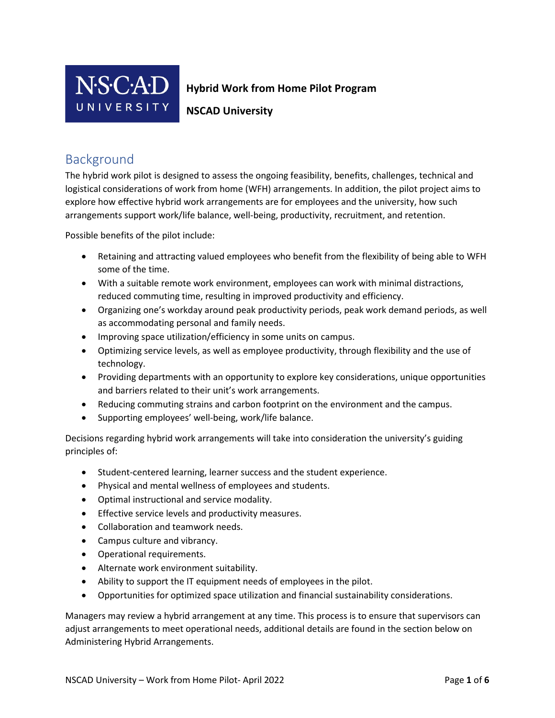

## **Hybrid Work from Home Pilot Program**

**NSCAD University** 

## Background

The hybrid work pilot is designed to assess the ongoing feasibility, benefits, challenges, technical and logistical considerations of work from home (WFH) arrangements. In addition, the pilot project aims to explore how effective hybrid work arrangements are for employees and the university, how such arrangements support work/life balance, well-being, productivity, recruitment, and retention.

Possible benefits of the pilot include:

- Retaining and attracting valued employees who benefit from the flexibility of being able to WFH some of the time.
- With a suitable remote work environment, employees can work with minimal distractions, reduced commuting time, resulting in improved productivity and efficiency.
- Organizing one's workday around peak productivity periods, peak work demand periods, as well as accommodating personal and family needs.
- Improving space utilization/efficiency in some units on campus.
- Optimizing service levels, as well as employee productivity, through flexibility and the use of technology.
- Providing departments with an opportunity to explore key considerations, unique opportunities and barriers related to their unit's work arrangements.
- Reducing commuting strains and carbon footprint on the environment and the campus.
- Supporting employees' well-being, work/life balance.

Decisions regarding hybrid work arrangements will take into consideration the university's guiding principles of:

- Student-centered learning, learner success and the student experience.
- Physical and mental wellness of employees and students.
- Optimal instructional and service modality.
- Effective service levels and productivity measures.
- Collaboration and teamwork needs.
- Campus culture and vibrancy.
- Operational requirements.
- Alternate work environment suitability.
- Ability to support the IT equipment needs of employees in the pilot.
- Opportunities for optimized space utilization and financial sustainability considerations.

Managers may review a hybrid arrangement at any time. This process is to ensure that supervisors can adjust arrangements to meet operational needs, additional details are found in the section below on Administering Hybrid Arrangements.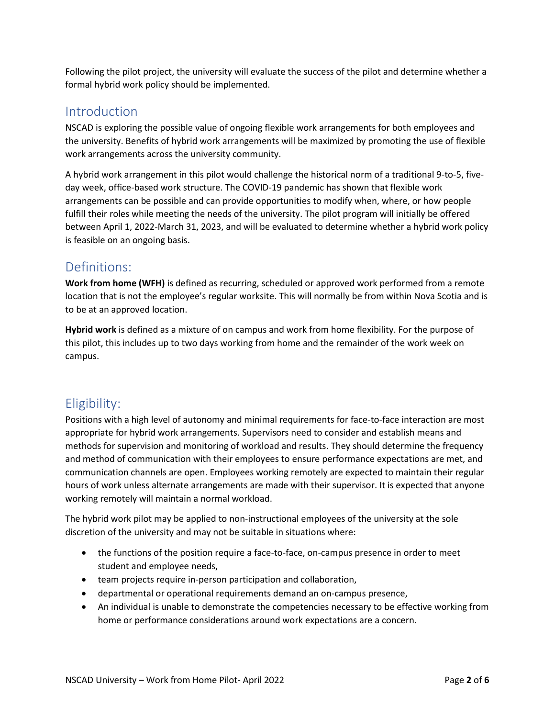Following the pilot project, the university will evaluate the success of the pilot and determine whether a formal hybrid work policy should be implemented.

## Introduction

NSCAD is exploring the possible value of ongoing flexible work arrangements for both employees and the university. Benefits of hybrid work arrangements will be maximized by promoting the use of flexible work arrangements across the university community.

A hybrid work arrangement in this pilot would challenge the historical norm of a traditional 9-to-5, fiveday week, office-based work structure. The COVID-19 pandemic has shown that flexible work arrangements can be possible and can provide opportunities to modify when, where, or how people fulfill their roles while meeting the needs of the university. The pilot program will initially be offered between April 1, 2022-March 31, 2023, and will be evaluated to determine whether a hybrid work policy is feasible on an ongoing basis.

## Definitions:

**Work from home (WFH)** is defined as recurring, scheduled or approved work performed from a remote location that is not the employee's regular worksite. This will normally be from within Nova Scotia and is to be at an approved location.

**Hybrid work** is defined as a mixture of on campus and work from home flexibility. For the purpose of this pilot, this includes up to two days working from home and the remainder of the work week on campus.

# Eligibility:

Positions with a high level of autonomy and minimal requirements for face-to-face interaction are most appropriate for hybrid work arrangements. Supervisors need to consider and establish means and methods for supervision and monitoring of workload and results. They should determine the frequency and method of communication with their employees to ensure performance expectations are met, and communication channels are open. Employees working remotely are expected to maintain their regular hours of work unless alternate arrangements are made with their supervisor. It is expected that anyone working remotely will maintain a normal workload.

The hybrid work pilot may be applied to non-instructional employees of the university at the sole discretion of the university and may not be suitable in situations where:

- the functions of the position require a face-to-face, on-campus presence in order to meet student and employee needs,
- team projects require in-person participation and collaboration,
- departmental or operational requirements demand an on-campus presence,
- An individual is unable to demonstrate the competencies necessary to be effective working from home or performance considerations around work expectations are a concern.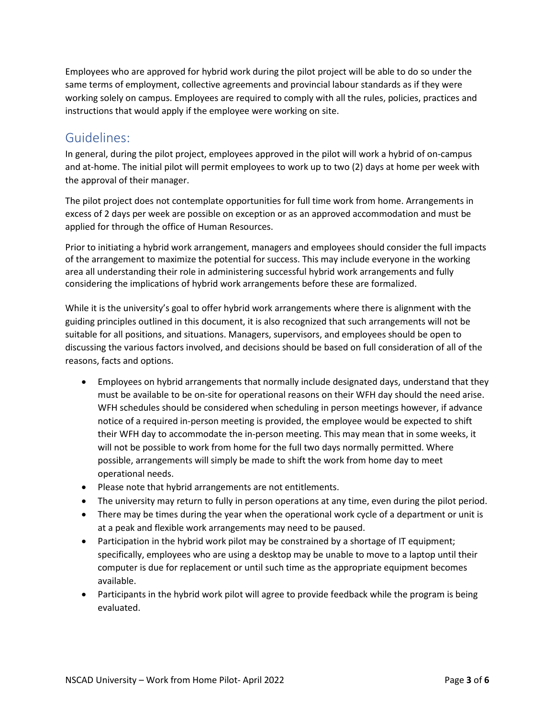Employees who are approved for hybrid work during the pilot project will be able to do so under the same terms of employment, collective agreements and provincial labour standards as if they were working solely on campus. Employees are required to comply with all the rules, policies, practices and instructions that would apply if the employee were working on site.

## Guidelines:

In general, during the pilot project, employees approved in the pilot will work a hybrid of on-campus and at-home. The initial pilot will permit employees to work up to two (2) days at home per week with the approval of their manager.

The pilot project does not contemplate opportunities for full time work from home. Arrangements in excess of 2 days per week are possible on exception or as an approved accommodation and must be applied for through the office of Human Resources.

Prior to initiating a hybrid work arrangement, managers and employees should consider the full impacts of the arrangement to maximize the potential for success. This may include everyone in the working area all understanding their role in administering successful hybrid work arrangements and fully considering the implications of hybrid work arrangements before these are formalized.

While it is the university's goal to offer hybrid work arrangements where there is alignment with the guiding principles outlined in this document, it is also recognized that such arrangements will not be suitable for all positions, and situations. Managers, supervisors, and employees should be open to discussing the various factors involved, and decisions should be based on full consideration of all of the reasons, facts and options.

- Employees on hybrid arrangements that normally include designated days, understand that they must be available to be on-site for operational reasons on their WFH day should the need arise. WFH schedules should be considered when scheduling in person meetings however, if advance notice of a required in-person meeting is provided, the employee would be expected to shift their WFH day to accommodate the in-person meeting. This may mean that in some weeks, it will not be possible to work from home for the full two days normally permitted. Where possible, arrangements will simply be made to shift the work from home day to meet operational needs.
- Please note that hybrid arrangements are not entitlements.
- The university may return to fully in person operations at any time, even during the pilot period.
- There may be times during the year when the operational work cycle of a department or unit is at a peak and flexible work arrangements may need to be paused.
- Participation in the hybrid work pilot may be constrained by a shortage of IT equipment; specifically, employees who are using a desktop may be unable to move to a laptop until their computer is due for replacement or until such time as the appropriate equipment becomes available.
- Participants in the hybrid work pilot will agree to provide feedback while the program is being evaluated.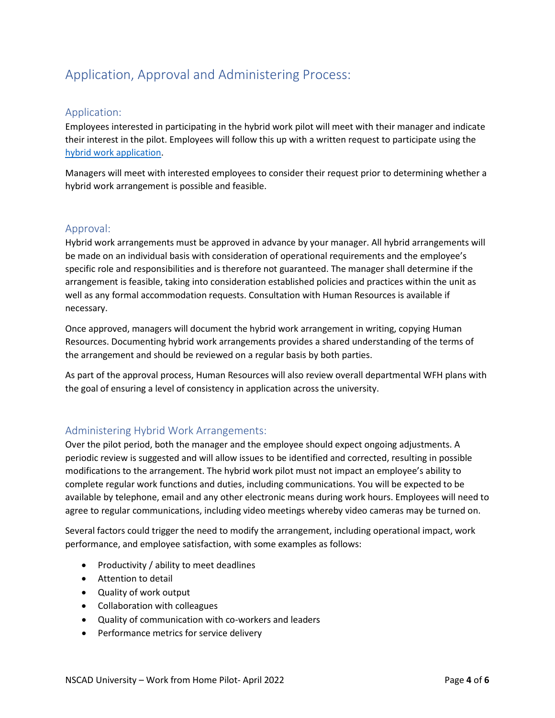# Application, Approval and Administering Process:

### Application:

Employees interested in participating in the hybrid work pilot will meet with their manager and indicate their interest in the pilot. Employees will follow this up with a written request to participate using the [hybrid work application.](https://forms.nscad.ca/form?form_id=206067)

Managers will meet with interested employees to consider their request prior to determining whether a hybrid work arrangement is possible and feasible.

### Approval:

Hybrid work arrangements must be approved in advance by your manager. All hybrid arrangements will be made on an individual basis with consideration of operational requirements and the employee's specific role and responsibilities and is therefore not guaranteed. The manager shall determine if the arrangement is feasible, taking into consideration established policies and practices within the unit as well as any formal accommodation requests. Consultation with Human Resources is available if necessary.

Once approved, managers will document the hybrid work arrangement in writing, copying Human Resources. Documenting hybrid work arrangements provides a shared understanding of the terms of the arrangement and should be reviewed on a regular basis by both parties.

As part of the approval process, Human Resources will also review overall departmental WFH plans with the goal of ensuring a level of consistency in application across the university.

### Administering Hybrid Work Arrangements:

Over the pilot period, both the manager and the employee should expect ongoing adjustments. A periodic review is suggested and will allow issues to be identified and corrected, resulting in possible modifications to the arrangement. The hybrid work pilot must not impact an employee's ability to complete regular work functions and duties, including communications. You will be expected to be available by telephone, email and any other electronic means during work hours. Employees will need to agree to regular communications, including video meetings whereby video cameras may be turned on.

Several factors could trigger the need to modify the arrangement, including operational impact, work performance, and employee satisfaction, with some examples as follows:

- Productivity / ability to meet deadlines
- Attention to detail
- Quality of work output
- Collaboration with colleagues
- Quality of communication with co-workers and leaders
- Performance metrics for service delivery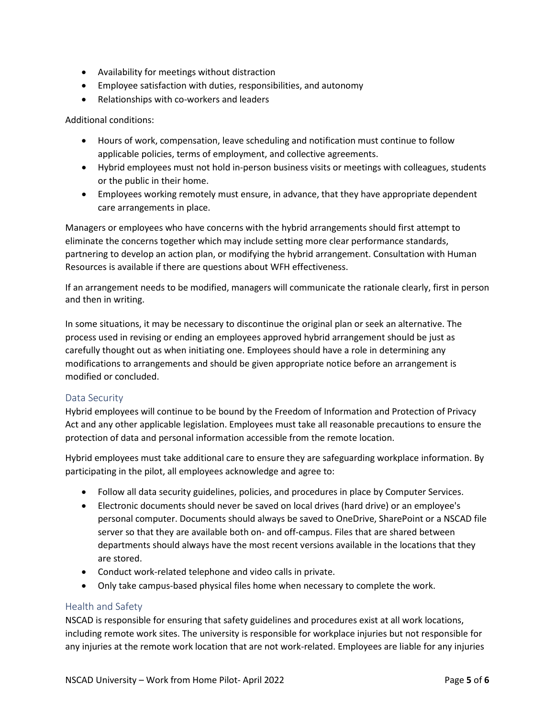- Availability for meetings without distraction
- Employee satisfaction with duties, responsibilities, and autonomy
- Relationships with co-workers and leaders

Additional conditions:

- Hours of work, compensation, leave scheduling and notification must continue to follow applicable policies, terms of employment, and collective agreements.
- Hybrid employees must not hold in-person business visits or meetings with colleagues, students or the public in their home.
- Employees working remotely must ensure, in advance, that they have appropriate dependent care arrangements in place.

Managers or employees who have concerns with the hybrid arrangements should first attempt to eliminate the concerns together which may include setting more clear performance standards, partnering to develop an action plan, or modifying the hybrid arrangement. Consultation with Human Resources is available if there are questions about WFH effectiveness.

If an arrangement needs to be modified, managers will communicate the rationale clearly, first in person and then in writing.

In some situations, it may be necessary to discontinue the original plan or seek an alternative. The process used in revising or ending an employees approved hybrid arrangement should be just as carefully thought out as when initiating one. Employees should have a role in determining any modifications to arrangements and should be given appropriate notice before an arrangement is modified or concluded.

#### Data Security

Hybrid employees will continue to be bound by the Freedom of Information and Protection of Privacy Act and any other applicable legislation. Employees must take all reasonable precautions to ensure the protection of data and personal information accessible from the remote location.

Hybrid employees must take additional care to ensure they are safeguarding workplace information. By participating in the pilot, all employees acknowledge and agree to:

- Follow all data security guidelines, policies, and procedures in place by Computer Services.
- Electronic documents should never be saved on local drives (hard drive) or an employee's personal computer. Documents should always be saved to OneDrive, SharePoint or a NSCAD file server so that they are available both on- and off-campus. Files that are shared between departments should always have the most recent versions available in the locations that they are stored.
- Conduct work-related telephone and video calls in private.
- Only take campus-based physical files home when necessary to complete the work.

#### Health and Safety

NSCAD is responsible for ensuring that safety guidelines and procedures exist at all work locations, including remote work sites. The university is responsible for workplace injuries but not responsible for any injuries at the remote work location that are not work-related. Employees are liable for any injuries